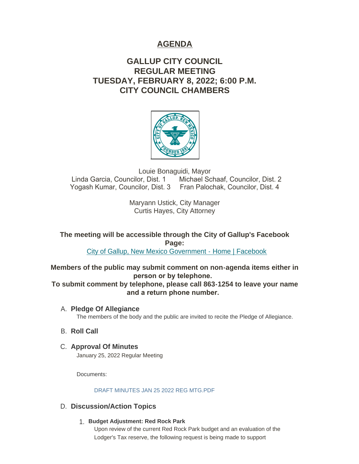# **AGENDA**

# **GALLUP CITY COUNCIL REGULAR MEETING TUESDAY, FEBRUARY 8, 2022; 6:00 P.M. CITY COUNCIL CHAMBERS**



Louie Bonaguidi, Mayor Linda Garcia, Councilor, Dist. 1 Michael Schaaf, Councilor, Dist. 2 Yogash Kumar, Councilor, Dist. 3 Fran Palochak, Councilor, Dist. 4

> Maryann Ustick, City Manager Curtis Hayes, City Attorney

**The meeting will be accessible through the City of Gallup's Facebook Page:**

[City of Gallup, New Mexico Government - Home | Facebook](https://www.facebook.com/CityOfGallup)

**Members of the public may submit comment on non-agenda items either in person or by telephone.** 

**To submit comment by telephone, please call 863-1254 to leave your name and a return phone number.** 

- **Pledge Of Allegiance** A. The members of the body and the public are invited to recite the Pledge of Allegiance.
- **B.** Roll Call
- **Approval Of Minutes** C. January 25, 2022 Regular Meeting

Documents:

DRAFT MINUTES JAN 25 2022 REG MTG PDF

## D. Discussion/Action Topics

**Budget Adjustment: Red Rock Park** 1.

Upon review of the current Red Rock Park budget and an evaluation of the Lodger's Tax reserve, the following request is being made to support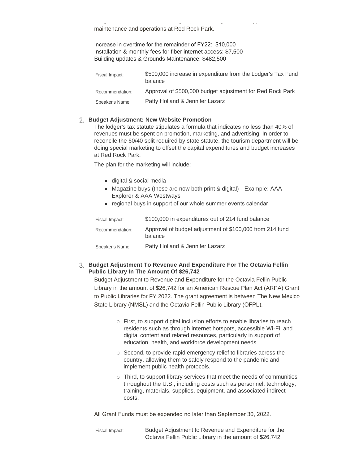maintenance and operations at Red Rock Park.

Increase in overtime for the remainder of FY22: \$10,000 Installation & monthly fees for fiber internet access: \$7,500 Building updates & Grounds Maintenance: \$482,500

Lodger's Tax reserve, the following request is being made to support  $\mathcal{L}_\mathbf{t}$ 

| Fiscal Impact:  | \$500,000 increase in expenditure from the Lodger's Tax Fund<br>balance |
|-----------------|-------------------------------------------------------------------------|
| Recommendation: | Approval of \$500,000 budget adjustment for Red Rock Park               |
| Speaker's Name  | Patty Holland & Jennifer Lazarz                                         |

#### **Budget Adjustment: New Website Promotion** 2.

The lodger's tax statute stipulates a formula that indicates no less than 40% of revenues must be spent on promotion, marketing, and advertising. In order to reconcile the 60/40 split required by state statute, the tourism department will be doing special marketing to offset the capital expenditures and budget increases at Red Rock Park.

The plan for the marketing will include:

- digital & social media
- Magazine buys (these are now both print & digital) Example: AAA Explorer & AAA Westways
- regional buys in support of our whole summer events calendar

| Fiscal Impact:  | \$100,000 in expenditures out of 214 fund balance                   |
|-----------------|---------------------------------------------------------------------|
| Recommendation: | Approval of budget adjustment of \$100,000 from 214 fund<br>balance |
| Speaker's Name  | Patty Holland & Jennifer Lazarz                                     |

#### **Budget Adjustment To Revenue And Expenditure For The Octavia Fellin**  3. **Public Library In The Amount Of \$26,742**

Budget Adjustment to Revenue and Expenditure for the Octavia Fellin Public Library in the amount of \$26,742 for an American Rescue Plan Act (ARPA) Grant to Public Libraries for FY 2022. The grant agreement is between The New Mexico State Library (NMSL) and the Octavia Fellin Public Library (OFPL).

- o First, to support digital inclusion efforts to enable libraries to reach residents such as through internet hotspots, accessible Wi-Fi, and digital content and related resources, particularly in support of education, health, and workforce development needs.
- $\circ$  Second, to provide rapid emergency relief to libraries across the country, allowing them to safely respond to the pandemic and implement public health protocols.
- o Third, to support library services that meet the needs of communities throughout the U.S., including costs such as personnel, technology, training, materials, supplies, equipment, and associated indirect costs.

All Grant Funds must be expended no later than September 30, 2022.

Budget Adjustment to Revenue and Expenditure for the Octavia Fellin Public Library in the amount of \$26,742 Fiscal Impact: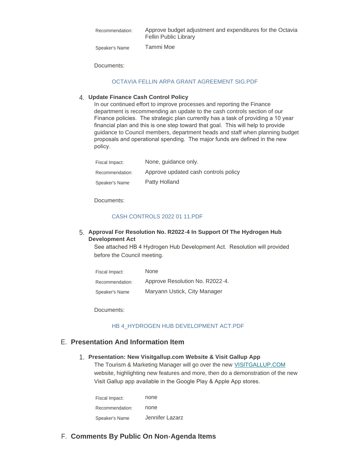| Recommendation: | Approve budget adjustment and expenditures for the Octavia<br><b>Fellin Public Library</b> |
|-----------------|--------------------------------------------------------------------------------------------|
| Speaker's Name  | Tammi Moe                                                                                  |

Documents:

#### [OCTAVIA FELLIN ARPA GRANT AGREEMENT SIG.PDF](https://www.gallupnm.gov/AgendaCenter/ViewFile/Item/2814?fileID=12434)

### **Update Finance Cash Control Policy** 4.

In our continued effort to improve processes and reporting the Finance department is recommending an update to the cash controls section of our Finance policies. The strategic plan currently has a task of providing a 10 year financial plan and this is one step toward that goal. This will help to provide guidance to Council members, department heads and staff when planning budget proposals and operational spending. The major funds are defined in the new policy.

| Fiscal Impact:  | None, guidance only.                 |
|-----------------|--------------------------------------|
| Recommendation: | Approve updated cash controls policy |
| Speaker's Name  | Patty Holland                        |

Documents:

#### [CASH CONTROLS 2022 01 11.PDF](https://www.gallupnm.gov/AgendaCenter/ViewFile/Item/2776?fileID=12437)

#### **Approval For Resolution No. R2022-4 In Support Of The Hydrogen Hub**  5. **Development Act**

See attached HB 4 Hydrogen Hub Development Act. Resolution will provided before the Council meeting.

| Fiscal Impact:  | None                            |
|-----------------|---------------------------------|
| Recommendation: | Approve Resolution No. R2022-4. |
| Speaker's Name  | Maryann Ustick, City Manager    |

Documents:

#### [HB 4\\_HYDROGEN HUB DEVELOPMENT ACT.PDF](https://www.gallupnm.gov/AgendaCenter/ViewFile/Item/2815?fileID=12435)

### **Presentation And Information Item** E.

#### **Presentation: New Visitgallup.com Website & Visit Gallup App** 1.

The Tourism & Marketing Manager will go over the new [VISITGALLUP.COM](https://visitgallup.com/) website, highlighting new features and more, then do a demonstration of the new Visit Gallup app available in the Google Play & Apple App stores.

| Fiscal Impact:  | none            |
|-----------------|-----------------|
| Recommendation: | none            |
| Speaker's Name  | Jennifer Lazarz |

## **Comments By Public On Non-Agenda Items** F.